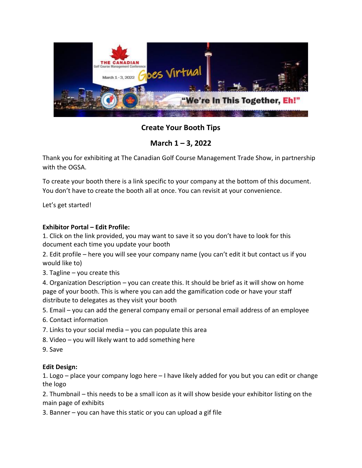

**Create Your Booth Tips**

**March 1 – 3, 2022**

Thank you for exhibiting at The Canadian Golf Course Management Trade Show, in partnership with the OGSA.

To create your booth there is a link specific to your company at the bottom of this document. You don't have to create the booth all at once. You can revisit at your convenience.

Let's get started!

## **Exhibitor Portal – Edit Profile:**

1. Click on the link provided, you may want to save it so you don't have to look for this document each time you update your booth

2. Edit profile – here you will see your company name (you can't edit it but contact us if you would like to)

3. Tagline – you create this

4. Organization Description – you can create this. It should be brief as it will show on home page of your booth. This is where you can add the gamification code or have your staff distribute to delegates as they visit your booth

5. Email – you can add the general company email or personal email address of an employee

- 6. Contact information
- 7. Links to your social media you can populate this area
- 8. Video you will likely want to add something here
- 9. Save

## **Edit Design:**

1. Logo – place your company logo here – I have likely added for you but you can edit or change the logo

2. Thumbnail – this needs to be a small icon as it will show beside your exhibitor listing on the main page of exhibits

3. Banner – you can have this static or you can upload a gif file